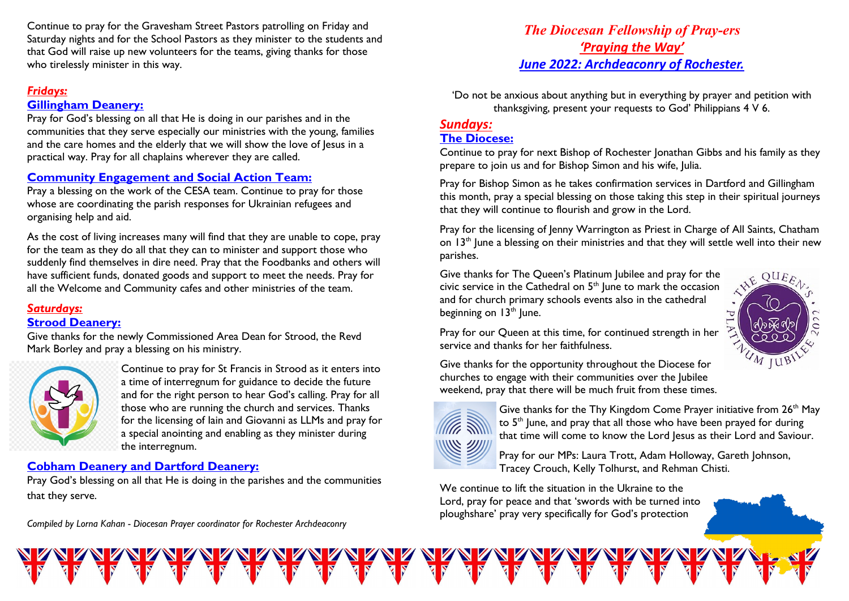Continue to pray for the Gravesham Street Pastors patrolling on Friday and Saturday nights and for the School Pastors as they minister to the students and that God will raise up new volunteers for the teams, giving thanks for those who tirelessly minister in this way.

# *Fridays:*

## **Gillingham Deanery:**

Pray for God's blessing on all that He is doing in our parishes and in the communities that they serve especially our ministries with the young, families and the care homes and the elderly that we will show the love of Jesus in a practical way. Pray for all chaplains wherever they are called.

# **Community Engagement and Social Action Team:**

Pray a blessing on the work of the CESA team. Continue to pray for those whose are coordinating the parish responses for Ukrainian refugees and organising help and aid.

As the cost of living increases many will find that they are unable to cope, pray for the team as they do all that they can to minister and support those who suddenly find themselves in dire need. Pray that the Foodbanks and others will have sufficient funds, donated goods and support to meet the needs. Pray for all the Welcome and Community cafes and other ministries of the team.

#### *Saturdays:* **Strood Deanery:**

Give thanks for the newly Commissioned Area Dean for Strood, the Revd Mark Borley and pray a blessing on his ministry.



Continue to pray for St Francis in Strood as it enters into a time of interregnum for guidance to decide the future and for the right person to hear God's calling. Pray for all those who are running the church and services. Thanks for the licensing of Iain and Giovanni as LLMs and pray for a special anointing and enabling as they minister during the interregnum.

# **Cobham Deanery and Dartford Deanery:**

Pray God's blessing on all that He is doing in the parishes and the communities that they serve.

*Compiled by Lorna Kahan - Diocesan Prayer coordinator for Rochester Archdeaconry* 

# *The Diocesan Fellowship of Pray-ers 'Praying the Way' June 2022: Archdeaconry of Rochester.*

'Do not be anxious about anything but in everything by prayer and petition with thanksgiving, present your requests to God' Philippians 4 V 6.

#### *Sundays:* **The Diocese:**

Continue to pray for next Bishop of Rochester Jonathan Gibbs and his family as they prepare to join us and for Bishop Simon and his wife, Julia.

Pray for Bishop Simon as he takes confirmation services in Dartford and Gillingham this month, pray a special blessing on those taking this step in their spiritual journeys that they will continue to flourish and grow in the Lord.

Pray for the licensing of Jenny Warrington as Priest in Charge of All Saints, Chatham on  $13<sup>th</sup>$  lune a blessing on their ministries and that they will settle well into their new parishes.

Give thanks for The Queen's Platinum Jubilee and pray for the civic service in the Cathedral on 5<sup>th</sup> June to mark the occasion and for church primary schools events also in the cathedral beginning on  $13<sup>th</sup>$  lune.



Pray for our Queen at this time, for continued strength in her service and thanks for her faithfulness.

Give thanks for the opportunity throughout the Diocese for churches to engage with their communities over the Jubilee weekend, pray that there will be much fruit from these times.



Give thanks for the Thy Kingdom Come Prayer initiative from 26<sup>th</sup> May to 5<sup>th</sup> June, and pray that all those who have been prayed for during that time will come to know the Lord Jesus as their Lord and Saviour.



Pray for our MPs: Laura Trott, Adam Holloway, Gareth Johnson, Tracey Crouch, Kelly Tolhurst, and Rehman Chisti.

We continue to lift the situation in the Ukraine to the Lord, pray for peace and that 'swords with be turned into ploughshare' pray very specifically for God's protection